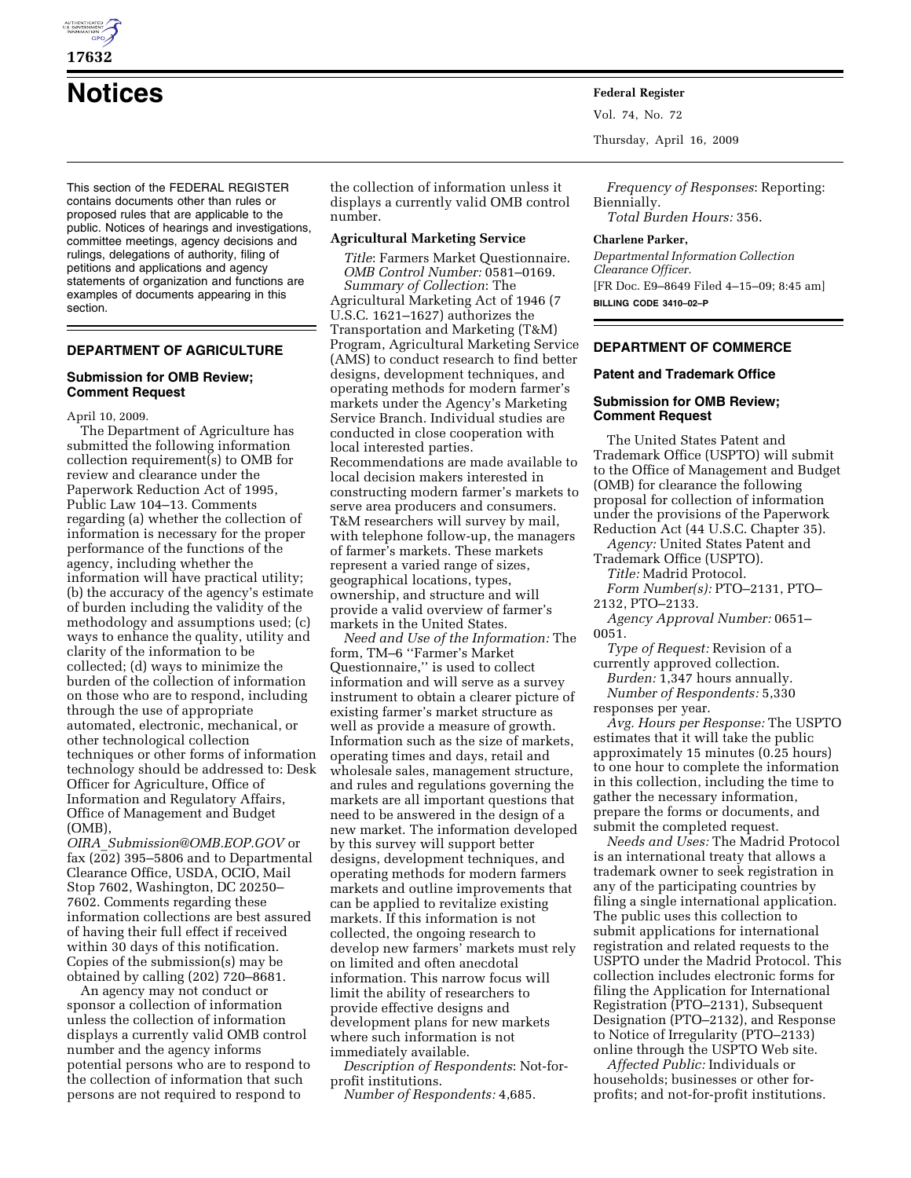

**17632** 

**Notices Federal Register**

This section of the FEDERAL REGISTER contains documents other than rules or proposed rules that are applicable to the public. Notices of hearings and investigations, committee meetings, agency decisions and rulings, delegations of authority, filing of petitions and applications and agency statements of organization and functions are examples of documents appearing in this section.

# **DEPARTMENT OF AGRICULTURE**

### **Submission for OMB Review; Comment Request**

April 10, 2009.

The Department of Agriculture has submitted the following information collection requirement(s) to OMB for review and clearance under the Paperwork Reduction Act of 1995, Public Law 104–13. Comments regarding (a) whether the collection of information is necessary for the proper performance of the functions of the agency, including whether the information will have practical utility; (b) the accuracy of the agency's estimate of burden including the validity of the methodology and assumptions used; (c) ways to enhance the quality, utility and clarity of the information to be collected; (d) ways to minimize the burden of the collection of information on those who are to respond, including through the use of appropriate automated, electronic, mechanical, or other technological collection techniques or other forms of information technology should be addressed to: Desk Officer for Agriculture, Office of Information and Regulatory Affairs, Office of Management and Budget (OMB),

*OIRA*\_*Submission@OMB.EOP.GOV* or fax (202) 395–5806 and to Departmental Clearance Office, USDA, OCIO, Mail Stop 7602, Washington, DC 20250– 7602. Comments regarding these information collections are best assured of having their full effect if received within 30 days of this notification. Copies of the submission(s) may be obtained by calling (202) 720–8681.

An agency may not conduct or sponsor a collection of information unless the collection of information displays a currently valid OMB control number and the agency informs potential persons who are to respond to the collection of information that such persons are not required to respond to

the collection of information unless it displays a currently valid OMB control number.

### **Agricultural Marketing Service**

*Title*: Farmers Market Questionnaire. *OMB Control Number:* 0581–0169. *Summary of Collection*: The Agricultural Marketing Act of 1946 (7 U.S.C. 1621–1627) authorizes the Transportation and Marketing (T&M) Program, Agricultural Marketing Service (AMS) to conduct research to find better designs, development techniques, and operating methods for modern farmer's markets under the Agency's Marketing Service Branch. Individual studies are conducted in close cooperation with local interested parties. Recommendations are made available to local decision makers interested in constructing modern farmer's markets to serve area producers and consumers. T&M researchers will survey by mail, with telephone follow-up, the managers of farmer's markets. These markets represent a varied range of sizes, geographical locations, types, ownership, and structure and will provide a valid overview of farmer's markets in the United States.

*Need and Use of the Information:* The form, TM–6 ''Farmer's Market Questionnaire,'' is used to collect information and will serve as a survey instrument to obtain a clearer picture of existing farmer's market structure as well as provide a measure of growth. Information such as the size of markets, operating times and days, retail and wholesale sales, management structure, and rules and regulations governing the markets are all important questions that need to be answered in the design of a new market. The information developed by this survey will support better designs, development techniques, and operating methods for modern farmers markets and outline improvements that can be applied to revitalize existing markets. If this information is not collected, the ongoing research to develop new farmers' markets must rely on limited and often anecdotal information. This narrow focus will limit the ability of researchers to provide effective designs and development plans for new markets where such information is not immediately available.

*Description of Respondents*: Not-forprofit institutions.

*Number of Respondents:* 4,685.

Vol. 74, No. 72

Thursday, April 16, 2009

*Frequency of Responses*: Reporting: Biennially. *Total Burden Hours:* 356.

#### **Charlene Parker,**

*Departmental Information Collection Clearance Officer.*  [FR Doc. E9–8649 Filed 4–15–09; 8:45 am] **BILLING CODE 3410–02–P** 

# **DEPARTMENT OF COMMERCE**

### **Patent and Trademark Office**

# **Submission for OMB Review; Comment Request**

The United States Patent and Trademark Office (USPTO) will submit to the Office of Management and Budget (OMB) for clearance the following proposal for collection of information under the provisions of the Paperwork Reduction Act (44 U.S.C. Chapter 35).

*Agency:* United States Patent and Trademark Office (USPTO).

*Title:* Madrid Protocol.

*Form Number(s):* PTO–2131, PTO– 2132, PTO–2133.

*Agency Approval Number:* 0651– 0051.

*Type of Request:* Revision of a currently approved collection.

*Burden:* 1,347 hours annually. *Number of Respondents:* 5,330 responses per year.

*Avg. Hours per Response:* The USPTO estimates that it will take the public approximately 15 minutes (0.25 hours) to one hour to complete the information in this collection, including the time to gather the necessary information, prepare the forms or documents, and submit the completed request.

*Needs and Uses:* The Madrid Protocol is an international treaty that allows a trademark owner to seek registration in any of the participating countries by filing a single international application. The public uses this collection to submit applications for international registration and related requests to the USPTO under the Madrid Protocol. This collection includes electronic forms for filing the Application for International Registration (PTO–2131), Subsequent Designation (PTO–2132), and Response to Notice of Irregularity (PTO–2133) online through the USPTO Web site.

*Affected Public:* Individuals or households; businesses or other forprofits; and not-for-profit institutions.